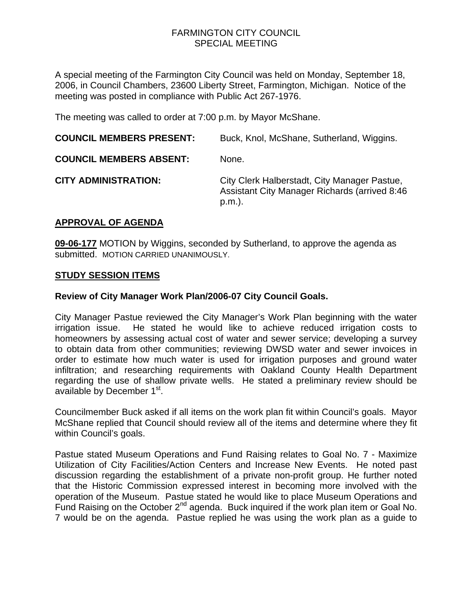### FARMINGTON CITY COUNCIL SPECIAL MEETING

A special meeting of the Farmington City Council was held on Monday, September 18, 2006, in Council Chambers, 23600 Liberty Street, Farmington, Michigan. Notice of the meeting was posted in compliance with Public Act 267-1976.

The meeting was called to order at 7:00 p.m. by Mayor McShane.

| <b>COUNCIL MEMBERS PRESENT:</b> | Buck, Knol, McShane, Sutherland, Wiggins.                                                               |
|---------------------------------|---------------------------------------------------------------------------------------------------------|
| <b>COUNCIL MEMBERS ABSENT:</b>  | None.                                                                                                   |
| <b>CITY ADMINISTRATION:</b>     | City Clerk Halberstadt, City Manager Pastue,<br>Assistant City Manager Richards (arrived 8:46<br>p.m.). |

## **APPROVAL OF AGENDA**

**09-06-177** MOTION by Wiggins, seconded by Sutherland, to approve the agenda as submitted. MOTION CARRIED UNANIMOUSLY.

### **STUDY SESSION ITEMS**

### **Review of City Manager Work Plan/2006-07 City Council Goals.**

City Manager Pastue reviewed the City Manager's Work Plan beginning with the water irrigation issue. He stated he would like to achieve reduced irrigation costs to homeowners by assessing actual cost of water and sewer service; developing a survey to obtain data from other communities; reviewing DWSD water and sewer invoices in order to estimate how much water is used for irrigation purposes and ground water infiltration; and researching requirements with Oakland County Health Department regarding the use of shallow private wells. He stated a preliminary review should be available by December 1<sup>st</sup>.

Councilmember Buck asked if all items on the work plan fit within Council's goals. Mayor McShane replied that Council should review all of the items and determine where they fit within Council's goals.

Pastue stated Museum Operations and Fund Raising relates to Goal No. 7 - Maximize Utilization of City Facilities/Action Centers and Increase New Events. He noted past discussion regarding the establishment of a private non-profit group. He further noted that the Historic Commission expressed interest in becoming more involved with the operation of the Museum. Pastue stated he would like to place Museum Operations and Fund Raising on the October 2nd agenda. Buck inquired if the work plan item or Goal No. 7 would be on the agenda. Pastue replied he was using the work plan as a guide to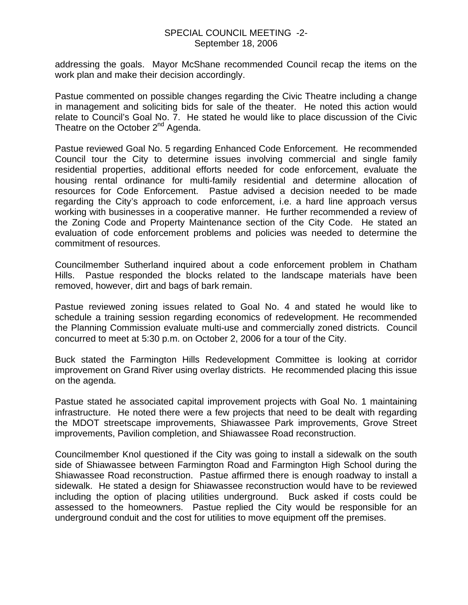#### SPECIAL COUNCIL MEETING -2- September 18, 2006

addressing the goals. Mayor McShane recommended Council recap the items on the work plan and make their decision accordingly.

Pastue commented on possible changes regarding the Civic Theatre including a change in management and soliciting bids for sale of the theater. He noted this action would relate to Council's Goal No. 7. He stated he would like to place discussion of the Civic Theatre on the October 2<sup>nd</sup> Agenda.

Pastue reviewed Goal No. 5 regarding Enhanced Code Enforcement. He recommended Council tour the City to determine issues involving commercial and single family residential properties, additional efforts needed for code enforcement, evaluate the housing rental ordinance for multi-family residential and determine allocation of resources for Code Enforcement. Pastue advised a decision needed to be made regarding the City's approach to code enforcement, i.e. a hard line approach versus working with businesses in a cooperative manner. He further recommended a review of the Zoning Code and Property Maintenance section of the City Code. He stated an evaluation of code enforcement problems and policies was needed to determine the commitment of resources.

Councilmember Sutherland inquired about a code enforcement problem in Chatham Hills. Pastue responded the blocks related to the landscape materials have been removed, however, dirt and bags of bark remain.

Pastue reviewed zoning issues related to Goal No. 4 and stated he would like to schedule a training session regarding economics of redevelopment. He recommended the Planning Commission evaluate multi-use and commercially zoned districts. Council concurred to meet at 5:30 p.m. on October 2, 2006 for a tour of the City.

Buck stated the Farmington Hills Redevelopment Committee is looking at corridor improvement on Grand River using overlay districts. He recommended placing this issue on the agenda.

Pastue stated he associated capital improvement projects with Goal No. 1 maintaining infrastructure. He noted there were a few projects that need to be dealt with regarding the MDOT streetscape improvements, Shiawassee Park improvements, Grove Street improvements, Pavilion completion, and Shiawassee Road reconstruction.

Councilmember Knol questioned if the City was going to install a sidewalk on the south side of Shiawassee between Farmington Road and Farmington High School during the Shiawassee Road reconstruction. Pastue affirmed there is enough roadway to install a sidewalk. He stated a design for Shiawassee reconstruction would have to be reviewed including the option of placing utilities underground. Buck asked if costs could be assessed to the homeowners. Pastue replied the City would be responsible for an underground conduit and the cost for utilities to move equipment off the premises.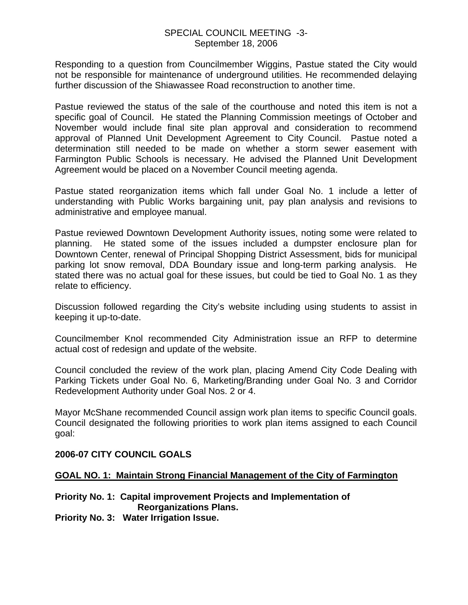#### SPECIAL COUNCIL MEETING -3- September 18, 2006

Responding to a question from Councilmember Wiggins, Pastue stated the City would not be responsible for maintenance of underground utilities. He recommended delaying further discussion of the Shiawassee Road reconstruction to another time.

Pastue reviewed the status of the sale of the courthouse and noted this item is not a specific goal of Council. He stated the Planning Commission meetings of October and November would include final site plan approval and consideration to recommend approval of Planned Unit Development Agreement to City Council. Pastue noted a determination still needed to be made on whether a storm sewer easement with Farmington Public Schools is necessary. He advised the Planned Unit Development Agreement would be placed on a November Council meeting agenda.

Pastue stated reorganization items which fall under Goal No. 1 include a letter of understanding with Public Works bargaining unit, pay plan analysis and revisions to administrative and employee manual.

Pastue reviewed Downtown Development Authority issues, noting some were related to planning. He stated some of the issues included a dumpster enclosure plan for Downtown Center, renewal of Principal Shopping District Assessment, bids for municipal parking lot snow removal, DDA Boundary issue and long-term parking analysis. He stated there was no actual goal for these issues, but could be tied to Goal No. 1 as they relate to efficiency.

Discussion followed regarding the City's website including using students to assist in keeping it up-to-date.

Councilmember Knol recommended City Administration issue an RFP to determine actual cost of redesign and update of the website.

Council concluded the review of the work plan, placing Amend City Code Dealing with Parking Tickets under Goal No. 6, Marketing/Branding under Goal No. 3 and Corridor Redevelopment Authority under Goal Nos. 2 or 4.

Mayor McShane recommended Council assign work plan items to specific Council goals. Council designated the following priorities to work plan items assigned to each Council goal:

#### **2006-07 CITY COUNCIL GOALS**

### **GOAL NO. 1: Maintain Strong Financial Management of the City of Farmington**

# **Priority No. 1: Capital improvement Projects and Implementation of Reorganizations Plans.**

**Priority No. 3: Water Irrigation Issue.**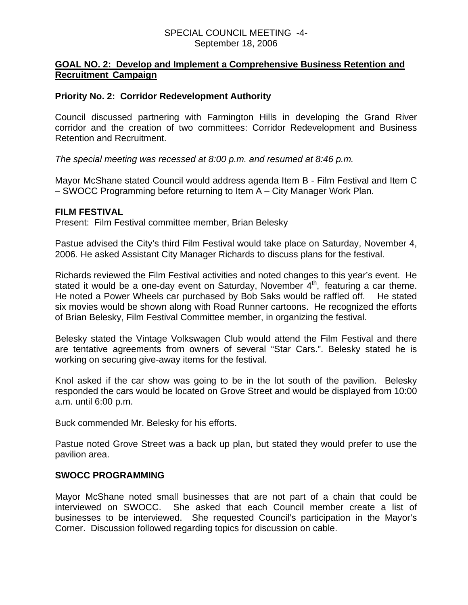#### SPECIAL COUNCIL MEETING -4- September 18, 2006

#### **GOAL NO. 2: Develop and Implement a Comprehensive Business Retention and Recruitment Campaign**

#### **Priority No. 2: Corridor Redevelopment Authority**

Council discussed partnering with Farmington Hills in developing the Grand River corridor and the creation of two committees: Corridor Redevelopment and Business Retention and Recruitment.

*The special meeting was recessed at 8:00 p.m. and resumed at 8:46 p.m.* 

Mayor McShane stated Council would address agenda Item B - Film Festival and Item C – SWOCC Programming before returning to Item A – City Manager Work Plan.

#### **FILM FESTIVAL**

Present: Film Festival committee member, Brian Belesky

Pastue advised the City's third Film Festival would take place on Saturday, November 4, 2006. He asked Assistant City Manager Richards to discuss plans for the festival.

Richards reviewed the Film Festival activities and noted changes to this year's event. He stated it would be a one-day event on Saturday, November  $4<sup>th</sup>$ , featuring a car theme. He noted a Power Wheels car purchased by Bob Saks would be raffled off. He stated six movies would be shown along with Road Runner cartoons. He recognized the efforts of Brian Belesky, Film Festival Committee member, in organizing the festival.

Belesky stated the Vintage Volkswagen Club would attend the Film Festival and there are tentative agreements from owners of several "Star Cars.". Belesky stated he is working on securing give-away items for the festival.

Knol asked if the car show was going to be in the lot south of the pavilion. Belesky responded the cars would be located on Grove Street and would be displayed from 10:00 a.m. until 6:00 p.m.

Buck commended Mr. Belesky for his efforts.

Pastue noted Grove Street was a back up plan, but stated they would prefer to use the pavilion area.

### **SWOCC PROGRAMMING**

Mayor McShane noted small businesses that are not part of a chain that could be interviewed on SWOCC. She asked that each Council member create a list of businesses to be interviewed. She requested Council's participation in the Mayor's Corner. Discussion followed regarding topics for discussion on cable.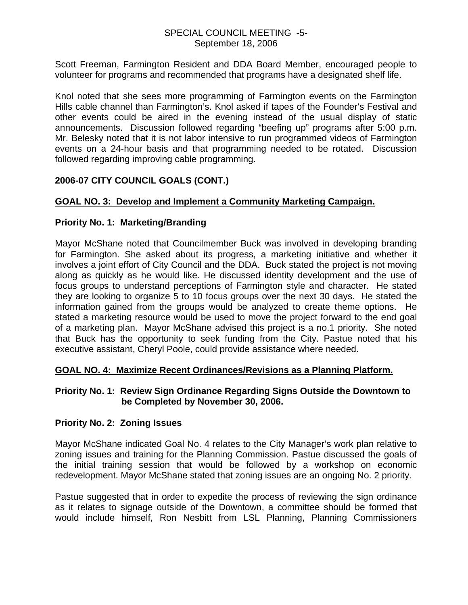### SPECIAL COUNCIL MEETING -5- September 18, 2006

Scott Freeman, Farmington Resident and DDA Board Member, encouraged people to volunteer for programs and recommended that programs have a designated shelf life.

Knol noted that she sees more programming of Farmington events on the Farmington Hills cable channel than Farmington's. Knol asked if tapes of the Founder's Festival and other events could be aired in the evening instead of the usual display of static announcements. Discussion followed regarding "beefing up" programs after 5:00 p.m. Mr. Belesky noted that it is not labor intensive to run programmed videos of Farmington events on a 24-hour basis and that programming needed to be rotated. Discussion followed regarding improving cable programming.

## **2006-07 CITY COUNCIL GOALS (CONT.)**

## **GOAL NO. 3: Develop and Implement a Community Marketing Campaign.**

### **Priority No. 1: Marketing/Branding**

Mayor McShane noted that Councilmember Buck was involved in developing branding for Farmington. She asked about its progress, a marketing initiative and whether it involves a joint effort of City Council and the DDA. Buck stated the project is not moving along as quickly as he would like. He discussed identity development and the use of focus groups to understand perceptions of Farmington style and character. He stated they are looking to organize 5 to 10 focus groups over the next 30 days. He stated the information gained from the groups would be analyzed to create theme options. He stated a marketing resource would be used to move the project forward to the end goal of a marketing plan. Mayor McShane advised this project is a no.1 priority. She noted that Buck has the opportunity to seek funding from the City. Pastue noted that his executive assistant, Cheryl Poole, could provide assistance where needed.

### **GOAL NO. 4: Maximize Recent Ordinances/Revisions as a Planning Platform.**

#### **Priority No. 1: Review Sign Ordinance Regarding Signs Outside the Downtown to be Completed by November 30, 2006.**

### **Priority No. 2: Zoning Issues**

Mayor McShane indicated Goal No. 4 relates to the City Manager's work plan relative to zoning issues and training for the Planning Commission. Pastue discussed the goals of the initial training session that would be followed by a workshop on economic redevelopment. Mayor McShane stated that zoning issues are an ongoing No. 2 priority.

Pastue suggested that in order to expedite the process of reviewing the sign ordinance as it relates to signage outside of the Downtown, a committee should be formed that would include himself, Ron Nesbitt from LSL Planning, Planning Commissioners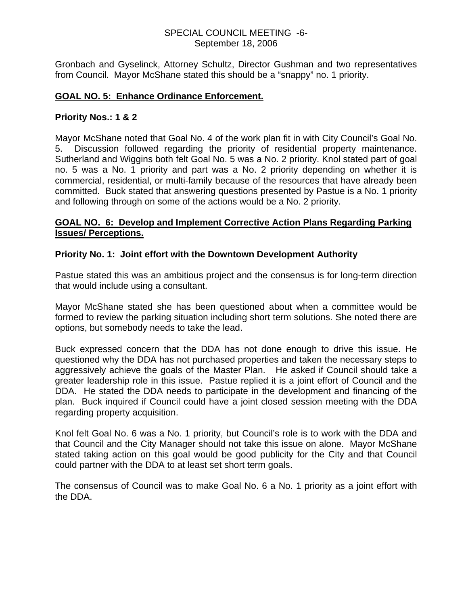### SPECIAL COUNCIL MEETING -6- September 18, 2006

Gronbach and Gyselinck, Attorney Schultz, Director Gushman and two representatives from Council. Mayor McShane stated this should be a "snappy" no. 1 priority.

### **GOAL NO. 5: Enhance Ordinance Enforcement.**

#### **Priority Nos.: 1 & 2**

Mayor McShane noted that Goal No. 4 of the work plan fit in with City Council's Goal No. 5. Discussion followed regarding the priority of residential property maintenance. Sutherland and Wiggins both felt Goal No. 5 was a No. 2 priority. Knol stated part of goal no. 5 was a No. 1 priority and part was a No. 2 priority depending on whether it is commercial, residential, or multi-family because of the resources that have already been committed. Buck stated that answering questions presented by Pastue is a No. 1 priority and following through on some of the actions would be a No. 2 priority.

### **GOAL NO. 6: Develop and Implement Corrective Action Plans Regarding Parking Issues/ Perceptions.**

### **Priority No. 1: Joint effort with the Downtown Development Authority**

Pastue stated this was an ambitious project and the consensus is for long-term direction that would include using a consultant.

Mayor McShane stated she has been questioned about when a committee would be formed to review the parking situation including short term solutions. She noted there are options, but somebody needs to take the lead.

Buck expressed concern that the DDA has not done enough to drive this issue. He questioned why the DDA has not purchased properties and taken the necessary steps to aggressively achieve the goals of the Master Plan. He asked if Council should take a greater leadership role in this issue. Pastue replied it is a joint effort of Council and the DDA. He stated the DDA needs to participate in the development and financing of the plan. Buck inquired if Council could have a joint closed session meeting with the DDA regarding property acquisition.

Knol felt Goal No. 6 was a No. 1 priority, but Council's role is to work with the DDA and that Council and the City Manager should not take this issue on alone. Mayor McShane stated taking action on this goal would be good publicity for the City and that Council could partner with the DDA to at least set short term goals.

The consensus of Council was to make Goal No. 6 a No. 1 priority as a joint effort with the DDA.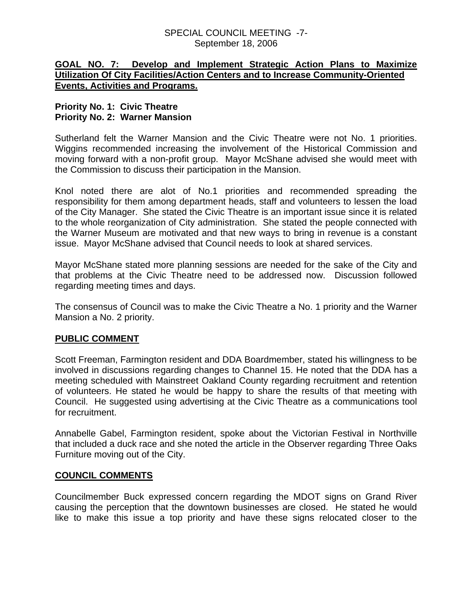### SPECIAL COUNCIL MEETING -7- September 18, 2006

### **GOAL NO. 7: Develop and Implement Strategic Action Plans to Maximize Utilization Of City Facilities/Action Centers and to Increase Community-Oriented Events, Activities and Programs.**

### **Priority No. 1: Civic Theatre Priority No. 2: Warner Mansion**

Sutherland felt the Warner Mansion and the Civic Theatre were not No. 1 priorities. Wiggins recommended increasing the involvement of the Historical Commission and moving forward with a non-profit group. Mayor McShane advised she would meet with the Commission to discuss their participation in the Mansion.

Knol noted there are alot of No.1 priorities and recommended spreading the responsibility for them among department heads, staff and volunteers to lessen the load of the City Manager. She stated the Civic Theatre is an important issue since it is related to the whole reorganization of City administration. She stated the people connected with the Warner Museum are motivated and that new ways to bring in revenue is a constant issue. Mayor McShane advised that Council needs to look at shared services.

Mayor McShane stated more planning sessions are needed for the sake of the City and that problems at the Civic Theatre need to be addressed now. Discussion followed regarding meeting times and days.

The consensus of Council was to make the Civic Theatre a No. 1 priority and the Warner Mansion a No. 2 priority.

### **PUBLIC COMMENT**

Scott Freeman, Farmington resident and DDA Boardmember, stated his willingness to be involved in discussions regarding changes to Channel 15. He noted that the DDA has a meeting scheduled with Mainstreet Oakland County regarding recruitment and retention of volunteers. He stated he would be happy to share the results of that meeting with Council. He suggested using advertising at the Civic Theatre as a communications tool for recruitment.

Annabelle Gabel, Farmington resident, spoke about the Victorian Festival in Northville that included a duck race and she noted the article in the Observer regarding Three Oaks Furniture moving out of the City.

### **COUNCIL COMMENTS**

Councilmember Buck expressed concern regarding the MDOT signs on Grand River causing the perception that the downtown businesses are closed. He stated he would like to make this issue a top priority and have these signs relocated closer to the